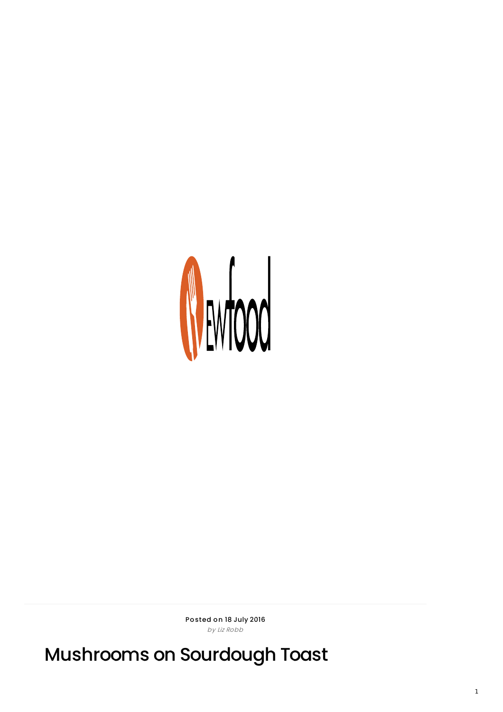

Posted on 18 July 2016 by Liz Robb

Mushrooms on Sourdough Toast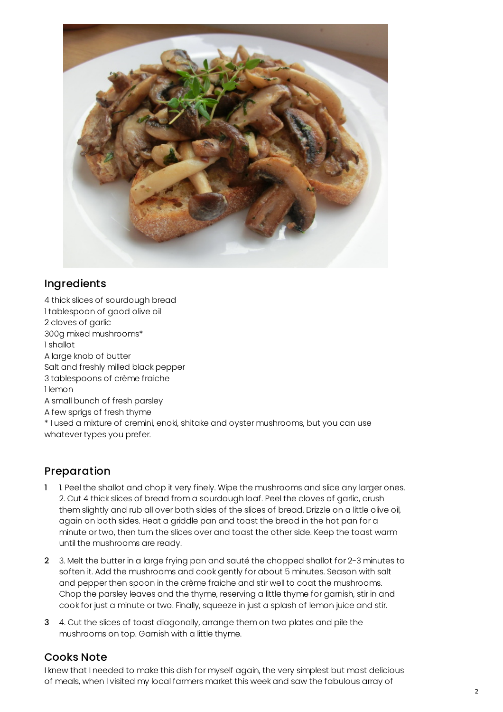

## **Ingredients**

4 thick slices of sourdough bread 1 tablespoon of good olive oil 2 cloves of garlic 300g mixed mushrooms\* 1 shallot A large knob of butter Salt and freshly milled black pepper 3 tablespoons of crème fraiche 1 lemon A small bunch of fresh parsley A few sprigs of fresh thyme \* I used a mixture of cremini, enoki, shitake and oyster mushrooms, but you can use whatever types you prefer.

## Preparation

- 1 1. Peel the shallot and chop it very finely. Wipe the mushrooms and slice any larger ones. 2. Cut 4 thick slices of bread from a sourdough loaf. Peel the cloves of garlic, crush them slightly and rub all over both sides of the slices of bread. Drizzle on a little olive oil, again on both sides. Heat a griddle pan and toast the bread in the hot pan for a minute or two, then turn the slices over and toast the other side. Keep the toast warm until the mushrooms are ready.
- 2 3. Melt the butter in a large frying pan and sauté the chopped shallot for 2-3 minutes to soften it. Add the mushrooms and cook gently for about 5 minutes. Season with salt and pepper then spoon in the crème fraiche and stir well to coat the mushrooms. Chop the parsley leaves and the thyme, reserving a little thyme for garnish, stir in and cook for just a minute or two. Finally, squeeze in just a splash of lemon juice and stir.
- 3 4. Cut the slices of toast diagonally, arrange them on two plates and pile the mushrooms on top. Garnish with a little thyme.

## Cooks Note

I knew that I needed to make this dish for myself again, the very simplest but most delicious of meals, when I visited my local farmers market this week and saw the fabulous array of